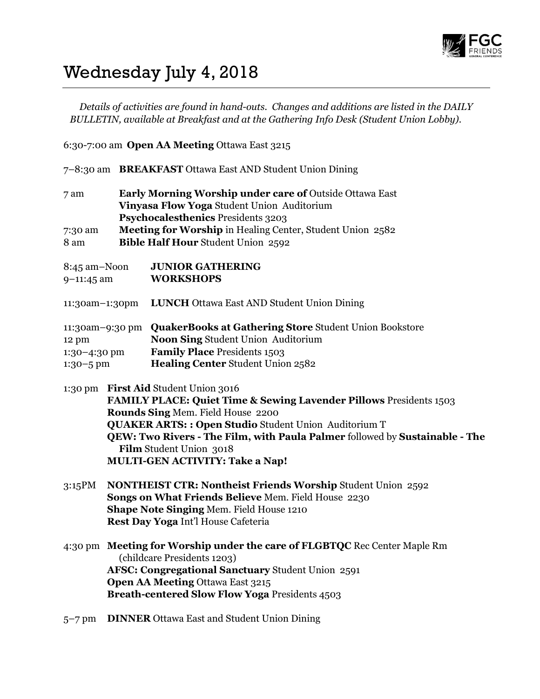

## Wednesday July 4, 2018

Details of activities are found in hand-outs. Changes and additions are listed in the DAILY BULLETIN, available at Breakfast and at the Gathering Info Desk (Student Union Lobby).

6:30-7:00 am Open AA Meeting Ottawa East 3215

|                                        |                                                                                                                                                                                                                                                                                                                                                                               | 7–8:30 am BREAKFAST Ottawa East AND Student Union Dining                                                                                                                                                                                                          |  |
|----------------------------------------|-------------------------------------------------------------------------------------------------------------------------------------------------------------------------------------------------------------------------------------------------------------------------------------------------------------------------------------------------------------------------------|-------------------------------------------------------------------------------------------------------------------------------------------------------------------------------------------------------------------------------------------------------------------|--|
| 7 am<br>7:30 am<br>8 am                |                                                                                                                                                                                                                                                                                                                                                                               | <b>Early Morning Worship under care of Outside Ottawa East</b><br>Vinyasa Flow Yoga Student Union Auditorium<br>Psychocalesthenics Presidents 3203<br>Meeting for Worship in Healing Center, Student Union 2582<br><b>Bible Half Hour Student Union 2592</b>      |  |
| 8:45 am–Noon<br>9-11:45 am             |                                                                                                                                                                                                                                                                                                                                                                               | <b>JUNIOR GATHERING</b><br><b>WORKSHOPS</b>                                                                                                                                                                                                                       |  |
| 11:30am-1:30pm                         |                                                                                                                                                                                                                                                                                                                                                                               | <b>LUNCH</b> Ottawa East AND Student Union Dining                                                                                                                                                                                                                 |  |
| 12 pm<br>1:30-4:30 pm<br>$1:30 - 5$ pm |                                                                                                                                                                                                                                                                                                                                                                               | 11:30am-9:30 pm QuakerBooks at Gathering Store Student Union Bookstore<br>Noon Sing Student Union Auditorium<br><b>Family Place Presidents 1503</b><br><b>Healing Center Student Union 2582</b>                                                                   |  |
|                                        | 1:30 pm First Aid Student Union 3016<br><b>FAMILY PLACE: Quiet Time &amp; Sewing Lavender Pillows Presidents 1503</b><br>Rounds Sing Mem. Field House 2200<br><b>QUAKER ARTS:: Open Studio Student Union Auditorium T</b><br>QEW: Two Rivers - The Film, with Paula Palmer followed by Sustainable - The<br>Film Student Union 3018<br><b>MULTI-GEN ACTIVITY: Take a Nap!</b> |                                                                                                                                                                                                                                                                   |  |
| 3:15PM                                 | <b>NONTHEIST CTR: Nontheist Friends Worship Student Union 2592</b><br>Songs on What Friends Believe Mem. Field House 2230<br>Shape Note Singing Mem. Field House 1210<br>Rest Day Yoga Int'l House Cafeteria                                                                                                                                                                  |                                                                                                                                                                                                                                                                   |  |
|                                        |                                                                                                                                                                                                                                                                                                                                                                               | 4:30 pm Meeting for Worship under the care of FLGBTQC Rec Center Maple Rm<br>(childcare Presidents 1203)<br>AFSC: Congregational Sanctuary Student Union 2591<br><b>Open AA Meeting Ottawa East 3215</b><br><b>Breath-centered Slow Flow Yoga Presidents 4503</b> |  |

5–7 pm DINNER Ottawa East and Student Union Dining